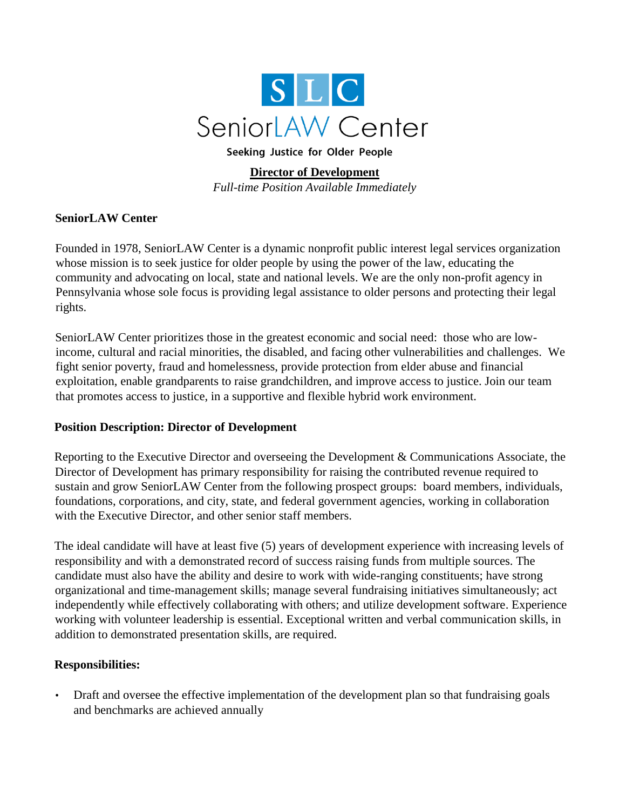

Seeking Justice for Older People

# **Director of Development**

*Full-time Position Available Immediately*

## **SeniorLAW Center**

Founded in 1978, SeniorLAW Center is a dynamic nonprofit public interest legal services organization whose mission is to seek justice for older people by using the power of the law, educating the community and advocating on local, state and national levels. We are the only non-profit agency in Pennsylvania whose sole focus is providing legal assistance to older persons and protecting their legal rights.

SeniorLAW Center prioritizes those in the greatest economic and social need: those who are lowincome, cultural and racial minorities, the disabled, and facing other vulnerabilities and challenges. We fight senior poverty, fraud and homelessness, provide protection from elder abuse and financial exploitation, enable grandparents to raise grandchildren, and improve access to justice. Join our team that promotes access to justice, in a supportive and flexible hybrid work environment.

## **Position Description: Director of Development**

Reporting to the Executive Director and overseeing the Development & Communications Associate, the Director of Development has primary responsibility for raising the contributed revenue required to sustain and grow SeniorLAW Center from the following prospect groups: board members, individuals, foundations, corporations, and city, state, and federal government agencies, working in collaboration with the Executive Director, and other senior staff members.

The ideal candidate will have at least five (5) years of development experience with increasing levels of responsibility and with a demonstrated record of success raising funds from multiple sources. The candidate must also have the ability and desire to work with wide-ranging constituents; have strong organizational and time-management skills; manage several fundraising initiatives simultaneously; act independently while effectively collaborating with others; and utilize development software. Experience working with volunteer leadership is essential. Exceptional written and verbal communication skills, in addition to demonstrated presentation skills, are required.

## **Responsibilities:**

• Draft and oversee the effective implementation of the development plan so that fundraising goals and benchmarks are achieved annually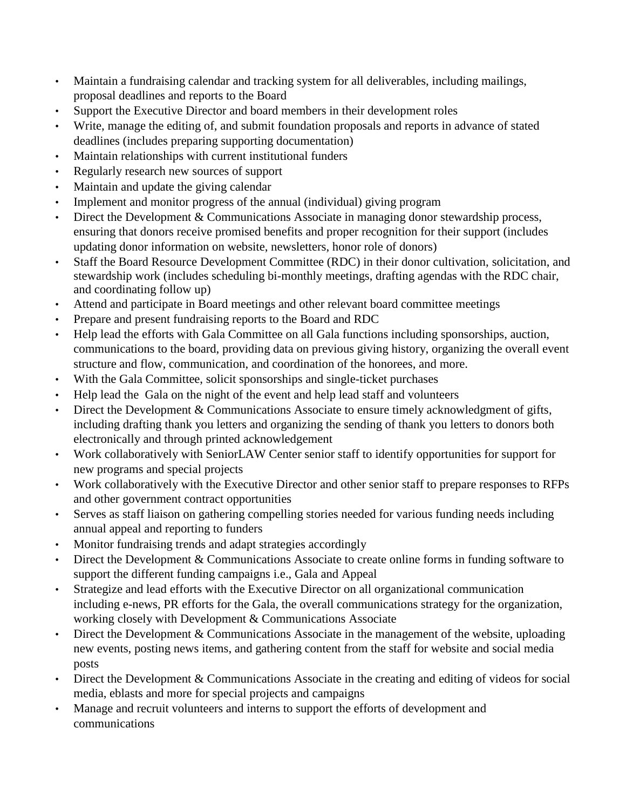- Maintain a fundraising calendar and tracking system for all deliverables, including mailings, proposal deadlines and reports to the Board
- Support the Executive Director and board members in their development roles
- Write, manage the editing of, and submit foundation proposals and reports in advance of stated deadlines (includes preparing supporting documentation)
- Maintain relationships with current institutional funders
- Regularly research new sources of support
- Maintain and update the giving calendar
- Implement and monitor progress of the annual (individual) giving program
- Direct the Development & Communications Associate in managing donor stewardship process, ensuring that donors receive promised benefits and proper recognition for their support (includes updating donor information on website, newsletters, honor role of donors)
- Staff the Board Resource Development Committee (RDC) in their donor cultivation, solicitation, and stewardship work (includes scheduling bi-monthly meetings, drafting agendas with the RDC chair, and coordinating follow up)
- Attend and participate in Board meetings and other relevant board committee meetings
- Prepare and present fundraising reports to the Board and RDC
- Help lead the efforts with Gala Committee on all Gala functions including sponsorships, auction, communications to the board, providing data on previous giving history, organizing the overall event structure and flow, communication, and coordination of the honorees, and more.
- With the Gala Committee, solicit sponsorships and single-ticket purchases
- Help lead the Gala on the night of the event and help lead staff and volunteers
- Direct the Development & Communications Associate to ensure timely acknowledgment of gifts, including drafting thank you letters and organizing the sending of thank you letters to donors both electronically and through printed acknowledgement
- Work collaboratively with SeniorLAW Center senior staff to identify opportunities for support for new programs and special projects
- Work collaboratively with the Executive Director and other senior staff to prepare responses to RFPs and other government contract opportunities
- Serves as staff liaison on gathering compelling stories needed for various funding needs including annual appeal and reporting to funders
- Monitor fundraising trends and adapt strategies accordingly
- Direct the Development & Communications Associate to create online forms in funding software to support the different funding campaigns i.e., Gala and Appeal
- Strategize and lead efforts with the Executive Director on all organizational communication including e-news, PR efforts for the Gala, the overall communications strategy for the organization, working closely with Development & Communications Associate
- Direct the Development & Communications Associate in the management of the website, uploading new events, posting news items, and gathering content from the staff for website and social media posts
- Direct the Development & Communications Associate in the creating and editing of videos for social media, eblasts and more for special projects and campaigns
- Manage and recruit volunteers and interns to support the efforts of development and communications